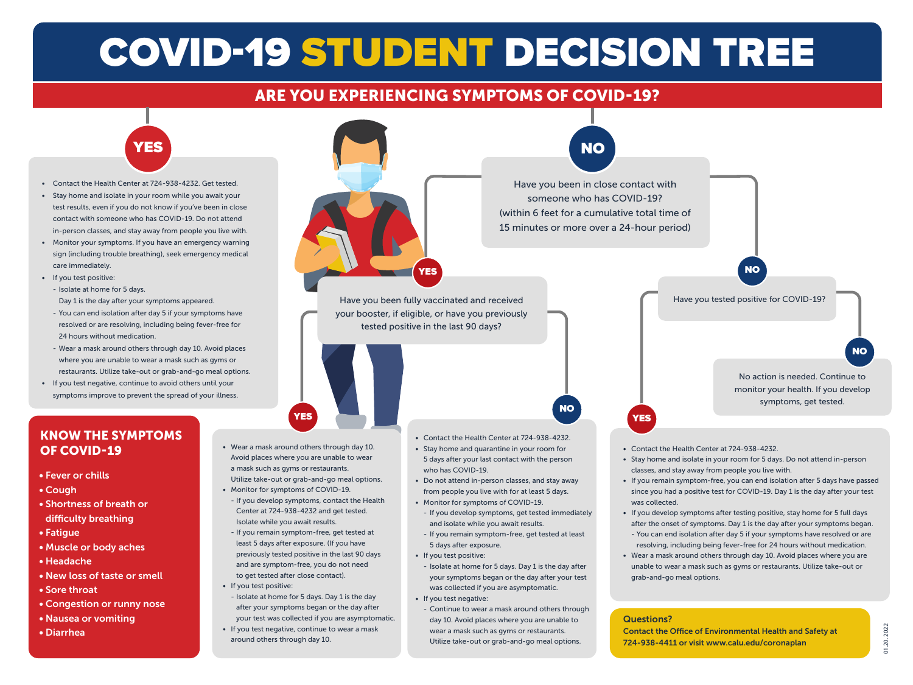# COVID-19 STUDENT DECISION TREE

## ARE YOU EXPERIENCING SYMPTOMS OF COVID-19?



- Contact the Health Center at 724-938-4232. Get tested.
- Stay home and isolate in your room while you await your test results, even if you do not know if you've been in close contact with someone who has COVID-19. Do not attend in-person classes, and stay away from people you live with.
- Monitor your symptoms. If you have an emergency warning sign (including trouble breathing), seek emergency medical care immediately.
- If you test positive:
	- Isolate at home for 5 days.
	- Day 1 is the day after your symptoms appeared.
	- You can end isolation after day 5 if your symptoms have resolved or are resolving, including being fever-free for 24 hours without medication.
	- Wear a mask around others through day 10. Avoid places where you are unable to wear a mask such as gyms or restaurants. Utilize take-out or grab-and-go meal options.
- If you test negative, continue to avoid others until your symptoms improve to prevent the spread of your illness.

#### KNOW THE SYMPTOMS OF COVID-19

- Fever or chills
- Cough
- Shortness of breath or difficulty breathing
- Fatigue
- Muscle or body aches
- Headache
- New loss of taste or smell
- Sore throat
- Congestion or runny nose
- Nausea or vomiting
- Diarrhea
- Wear a mask around others through day 10. Avoid places where you are unable to wear a mask such as gyms or restaurants.
- Monitor for symptoms of COVID-19.
- If you develop symptoms, contact the Health Center at 724-938-4232 and get tested. Isolate while you await results.
- If you remain symptom-free, get tested at least 5 days after exposure. (If you have previously tested positive in the last 90 days and are symptom-free, you do not need to get tested after close contact).
- If you test positive:
	- Isolate at home for 5 days. Day 1 is the day after your symptoms began or the day after
	- your test was collected if you are asymptomatic. • If you test negative, continue to wear a mask around others through day 10.



- If you test positive:
- Isolate at home for 5 days. Day 1 is the day after your symptoms began or the day after your test was collected if you are asymptomatic.
- If you test negative:
	- Continue to wear a mask around others through day 10. Avoid places where you are unable to wear a mask such as gyms or restaurants. Utilize take-out or grab-and-go meal options.

Contact the Office of Environmental Health and Safety at 724-938-4411 or visit www.calu.edu/coronaplan

grab-and-go meal options.

Questions?

• Wear a mask around others through day 10. Avoid places where you are unable to wear a mask such as gyms or restaurants. Utilize take-out or